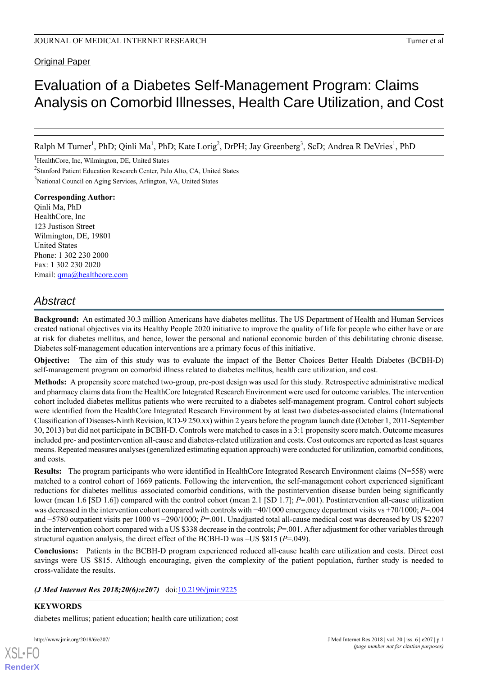Original Paper

# Evaluation of a Diabetes Self-Management Program: Claims Analysis on Comorbid Illnesses, Health Care Utilization, and Cost

Ralph M Turner<sup>1</sup>, PhD; Qinli Ma<sup>1</sup>, PhD; Kate Lorig<sup>2</sup>, DrPH; Jay Greenberg<sup>3</sup>, ScD; Andrea R DeVries<sup>1</sup>, PhD

<sup>1</sup>HealthCore, Inc, Wilmington, DE, United States <sup>2</sup>Stanford Patient Education Research Center, Palo Alto, CA, United States <sup>3</sup>National Council on Aging Services, Arlington, VA, United States

**Corresponding Author:** Qinli Ma, PhD HealthCore, Inc. 123 Justison Street Wilmington, DE, 19801 United States Phone: 1 302 230 2000 Fax: 1 302 230 2020 Email: [qma@healthcore.com](mailto:qma@healthcore.com)

# *Abstract*

**Background:** An estimated 30.3 million Americans have diabetes mellitus. The US Department of Health and Human Services created national objectives via its Healthy People 2020 initiative to improve the quality of life for people who either have or are at risk for diabetes mellitus, and hence, lower the personal and national economic burden of this debilitating chronic disease. Diabetes self-management education interventions are a primary focus of this initiative.

**Objective:** The aim of this study was to evaluate the impact of the Better Choices Better Health Diabetes (BCBH-D) self-management program on comorbid illness related to diabetes mellitus, health care utilization, and cost.

**Methods:** A propensity score matched two-group, pre-post design was used for this study. Retrospective administrative medical and pharmacy claims data from the HealthCore Integrated Research Environment were used for outcome variables. The intervention cohort included diabetes mellitus patients who were recruited to a diabetes self-management program. Control cohort subjects were identified from the HealthCore Integrated Research Environment by at least two diabetes-associated claims (International Classification of Diseases-Ninth Revision, ICD-9 250.xx) within 2 years before the program launch date (October 1, 2011-September 30, 2013) but did not participate in BCBH-D. Controls were matched to cases in a 3:1 propensity score match. Outcome measures included pre- and postintervention all-cause and diabetes-related utilization and costs. Cost outcomes are reported as least squares means. Repeated measures analyses (generalized estimating equation approach) were conducted for utilization, comorbid conditions, and costs.

**Results:** The program participants who were identified in HealthCore Integrated Research Environment claims (N=558) were matched to a control cohort of 1669 patients. Following the intervention, the self-management cohort experienced significant reductions for diabetes mellitus–associated comorbid conditions, with the postintervention disease burden being significantly lower (mean 1.6 [SD 1.6]) compared with the control cohort (mean 2.1 [SD 1.7]; *P*=.001). Postintervention all-cause utilization was decreased in the intervention cohort compared with controls with −40/1000 emergency department visits vs +70/1000; *P*=.004 and −5780 outpatient visits per 1000 vs −290/1000; *P*=.001. Unadjusted total all-cause medical cost was decreased by US \$2207 in the intervention cohort compared with a US \$338 decrease in the controls; *P*=.001. After adjustment for other variables through structural equation analysis, the direct effect of the BCBH-D was –US \$815 (*P*=.049).

**Conclusions:** Patients in the BCBH-D program experienced reduced all-cause health care utilization and costs. Direct cost savings were US \$815. Although encouraging, given the complexity of the patient population, further study is needed to cross-validate the results.

*(J Med Internet Res 2018;20(6):e207)* doi: $\frac{10.2196}{\text{min}.9225}$ 

**KEYWORDS** diabetes mellitus; patient education; health care utilization; cost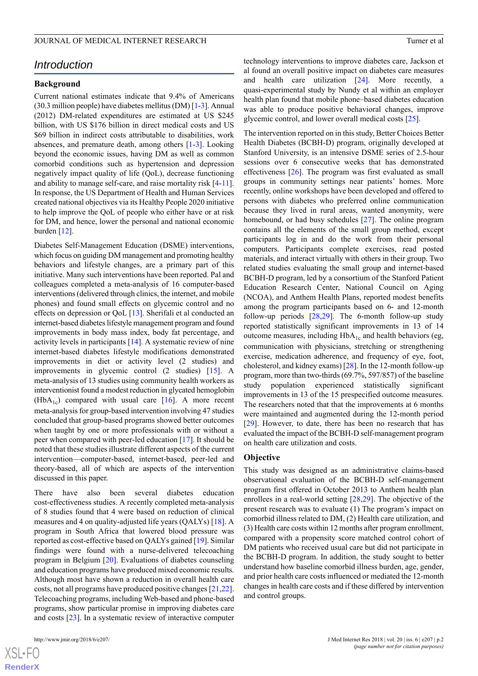# *Introduction*

# **Background**

Current national estimates indicate that 9.4% of Americans (30.3 million people) have diabetes mellitus (DM) [\[1](#page-11-0)[-3](#page-11-1)]. Annual (2012) DM-related expenditures are estimated at US \$245 billion, with US \$176 billion in direct medical costs and US \$69 billion in indirect costs attributable to disabilities, work absences, and premature death, among others [\[1](#page-11-0)-[3](#page-11-1)]. Looking beyond the economic issues, having DM as well as common comorbid conditions such as hypertension and depression negatively impact quality of life (QoL), decrease functioning and ability to manage self-care, and raise mortality risk [[4](#page-12-0)[-11\]](#page-12-1). In response, the US Department of Health and Human Services created national objectives via its Healthy People 2020 initiative to help improve the QoL of people who either have or at risk for DM, and hence, lower the personal and national economic burden  $[12]$  $[12]$ .

Diabetes Self-Management Education (DSME) interventions, which focus on guiding DM management and promoting healthy behaviors and lifestyle changes, are a primary part of this initiative. Many such interventions have been reported. Pal and colleagues completed a meta-analysis of 16 computer-based interventions (delivered through clinics, the internet, and mobile phones) and found small effects on glycemic control and no effects on depression or QoL [\[13](#page-12-3)]. Sherifali et al conducted an internet-based diabetes lifestyle management program and found improvements in body mass index, body fat percentage, and activity levels in participants [\[14](#page-12-4)]. A systematic review of nine internet-based diabetes lifestyle modifications demonstrated improvements in diet or activity level (2 studies) and improvements in glycemic control (2 studies) [[15\]](#page-12-5). A meta-analysis of 13 studies using community health workers as interventionist found a modest reduction in glycated hemoglobin  $(HbA<sub>1c</sub>)$  compared with usual care [[16\]](#page-12-6). A more recent meta-analysis for group-based intervention involving 47 studies concluded that group-based programs showed better outcomes when taught by one or more professionals with or without a peer when compared with peer-led education [[17\]](#page-12-7). It should be noted that these studies illustrate different aspects of the current intervention—computer-based, internet-based, peer-led and theory-based, all of which are aspects of the intervention discussed in this paper.

There have also been several diabetes education cost-effectiveness studies. A recently completed meta-analysis of 8 studies found that 4 were based on reduction of clinical measures and 4 on quality-adjusted life years (QALYs) [\[18](#page-12-8)]. A program in South Africa that lowered blood pressure was reported as cost-effective based on QALYs gained [[19\]](#page-12-9). Similar findings were found with a nurse-delivered telecoaching program in Belgium [[20\]](#page-12-10). Evaluations of diabetes counseling and education programs have produced mixed economic results. Although most have shown a reduction in overall health care costs, not all programs have produced positive changes [[21](#page-12-11),[22\]](#page-12-12). Telecoaching programs, including Web-based and phone-based programs, show particular promise in improving diabetes care and costs [[23\]](#page-12-13). In a systematic review of interactive computer

technology interventions to improve diabetes care, Jackson et al found an overall positive impact on diabetes care measures and health care utilization [\[24](#page-12-14)]. More recently, a quasi-experimental study by Nundy et al within an employer health plan found that mobile phone–based diabetes education was able to produce positive behavioral changes, improve glycemic control, and lower overall medical costs [\[25](#page-12-15)].

The intervention reported on in this study, Better Choices Better Health Diabetes (BCBH-D) program, originally developed at Stanford University, is an intensive DSME series of 2.5-hour sessions over 6 consecutive weeks that has demonstrated effectiveness [\[26](#page-13-0)]. The program was first evaluated as small groups in community settings near patients' homes. More recently, online workshops have been developed and offered to persons with diabetes who preferred online communication because they lived in rural areas, wanted anonymity, were homebound, or had busy schedules [\[27](#page-13-1)]. The online program contains all the elements of the small group method, except participants log in and do the work from their personal computers. Participants complete exercises, read posted materials, and interact virtually with others in their group. Two related studies evaluating the small group and internet-based BCBH-D program, led by a consortium of the Stanford Patient Education Research Center, National Council on Aging (NCOA), and Anthem Health Plans, reported modest benefits among the program participants based on 6- and 12-month follow-up periods [\[28](#page-13-2)[,29](#page-13-3)]. The 6-month follow-up study reported statistically significant improvements in 13 of 14 outcome measures, including  $HbA_{1c}$  and health behaviors (eg, communication with physicians, stretching or strengthening exercise, medication adherence, and frequency of eye, foot, cholesterol, and kidney exams) [[28\]](#page-13-2). In the 12-month follow-up program, more than two-thirds (69.7%, 597/857) of the baseline study population experienced statistically significant improvements in 13 of the 15 prespecified outcome measures. The researchers noted that that the improvements at 6 months were maintained and augmented during the 12-month period [[29\]](#page-13-3). However, to date, there has been no research that has evaluated the impact of the BCBH-D self-management program on health care utilization and costs.

#### **Objective**

This study was designed as an administrative claims-based observational evaluation of the BCBH-D self-management program first offered in October 2013 to Anthem health plan enrollees in a real-world setting [\[28](#page-13-2),[29\]](#page-13-3). The objective of the present research was to evaluate (1) The program's impact on comorbid illness related to DM, (2) Health care utilization, and (3) Health care costs within 12 months after program enrollment, compared with a propensity score matched control cohort of DM patients who received usual care but did not participate in the BCBH-D program. In addition, the study sought to better understand how baseline comorbid illness burden, age, gender, and prior health care costs influenced or mediated the 12-month changes in health care costs and if these differed by intervention and control groups.

 $XS$ -FO **[RenderX](http://www.renderx.com/)**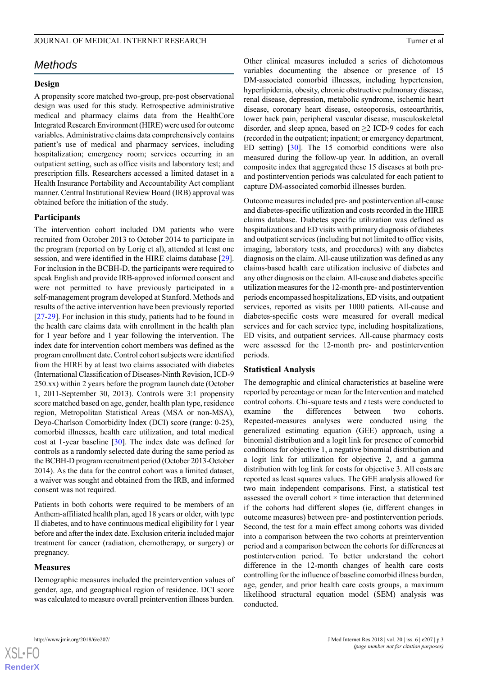# *Methods*

## **Design**

A propensity score matched two-group, pre-post observational design was used for this study. Retrospective administrative medical and pharmacy claims data from the HealthCore Integrated Research Environment (HIRE) were used for outcome variables. Administrative claims data comprehensively contains patient's use of medical and pharmacy services, including hospitalization; emergency room; services occurring in an outpatient setting, such as office visits and laboratory test; and prescription fills. Researchers accessed a limited dataset in a Health Insurance Portability and Accountability Act compliant manner. Central Institutional Review Board (IRB) approval was obtained before the initiation of the study.

# **Participants**

The intervention cohort included DM patients who were recruited from October 2013 to October 2014 to participate in the program (reported on by Lorig et al), attended at least one session, and were identified in the HIRE claims database [[29\]](#page-13-3). For inclusion in the BCBH-D, the participants were required to speak English and provide IRB-approved informed consent and were not permitted to have previously participated in a self-management program developed at Stanford. Methods and results of the active intervention have been previously reported [[27](#page-13-1)[-29](#page-13-3)]. For inclusion in this study, patients had to be found in the health care claims data with enrollment in the health plan for 1 year before and 1 year following the intervention. The index date for intervention cohort members was defined as the program enrollment date. Control cohort subjects were identified from the HIRE by at least two claims associated with diabetes (International Classification of Diseases-Ninth Revision, ICD-9 250.xx) within 2 years before the program launch date (October 1, 2011-September 30, 2013). Controls were 3:1 propensity score matched based on age, gender, health plan type, residence region, Metropolitan Statistical Areas (MSA or non-MSA), Deyo-Charlson Comorbidity Index (DCI) score (range: 0-25), comorbid illnesses, health care utilization, and total medical cost at 1-year baseline [\[30](#page-13-4)]. The index date was defined for controls as a randomly selected date during the same period as the BCBH-D program recruitment period (October 2013-October 2014). As the data for the control cohort was a limited dataset, a waiver was sought and obtained from the IRB, and informed consent was not required.

Patients in both cohorts were required to be members of an Anthem-affiliated health plan, aged 18 years or older, with type II diabetes, and to have continuous medical eligibility for 1 year before and after the index date. Exclusion criteria included major treatment for cancer (radiation, chemotherapy, or surgery) or pregnancy.

## **Measures**

Demographic measures included the preintervention values of gender, age, and geographical region of residence. DCI score was calculated to measure overall preintervention illness burden.

Other clinical measures included a series of dichotomous variables documenting the absence or presence of 15 DM-associated comorbid illnesses, including hypertension, hyperlipidemia, obesity, chronic obstructive pulmonary disease, renal disease, depression, metabolic syndrome, ischemic heart disease, coronary heart disease, osteoporosis, osteoarthritis, lower back pain, peripheral vascular disease, musculoskeletal disorder, and sleep apnea, based on  $\geq$  ICD-9 codes for each (recorded in the outpatient; inpatient; or emergency department, ED setting) [[30\]](#page-13-4). The 15 comorbid conditions were also measured during the follow-up year. In addition, an overall composite index that aggregated these 15 diseases at both preand postintervention periods was calculated for each patient to capture DM-associated comorbid illnesses burden.

Outcome measures included pre- and postintervention all-cause and diabetes-specific utilization and costs recorded in the HIRE claims database. Diabetes specific utilization was defined as hospitalizations and ED visits with primary diagnosis of diabetes and outpatient services (including but not limited to office visits, imaging, laboratory tests, and procedures) with any diabetes diagnosis on the claim. All-cause utilization was defined as any claims-based health care utilization inclusive of diabetes and any other diagnosis on the claim. All-cause and diabetes specific utilization measures for the 12-month pre- and postintervention periods encompassed hospitalizations, ED visits, and outpatient services, reported as visits per 1000 patients. All-cause and diabetes-specific costs were measured for overall medical services and for each service type, including hospitalizations, ED visits, and outpatient services. All-cause pharmacy costs were assessed for the 12-month pre- and postintervention periods.

#### **Statistical Analysis**

The demographic and clinical characteristics at baseline were reported by percentage or mean for the Intervention and matched control cohorts. Chi-square tests and *t* tests were conducted to examine the differences between two cohorts. Repeated-measures analyses were conducted using the generalized estimating equation (GEE) approach, using a binomial distribution and a logit link for presence of comorbid conditions for objective 1, a negative binomial distribution and a logit link for utilization for objective 2, and a gamma distribution with log link for costs for objective 3. All costs are reported as least squares values. The GEE analysis allowed for two main independent comparisons. First, a statistical test assessed the overall cohort  $\times$  time interaction that determined if the cohorts had different slopes (ie, different changes in outcome measures) between pre- and postintervention periods. Second, the test for a main effect among cohorts was divided into a comparison between the two cohorts at preintervention period and a comparison between the cohorts for differences at postintervention period. To better understand the cohort difference in the 12-month changes of health care costs controlling for the influence of baseline comorbid illness burden, age, gender, and prior health care costs groups, a maximum likelihood structural equation model (SEM) analysis was conducted.

```
XS\cdotFC
RenderX
```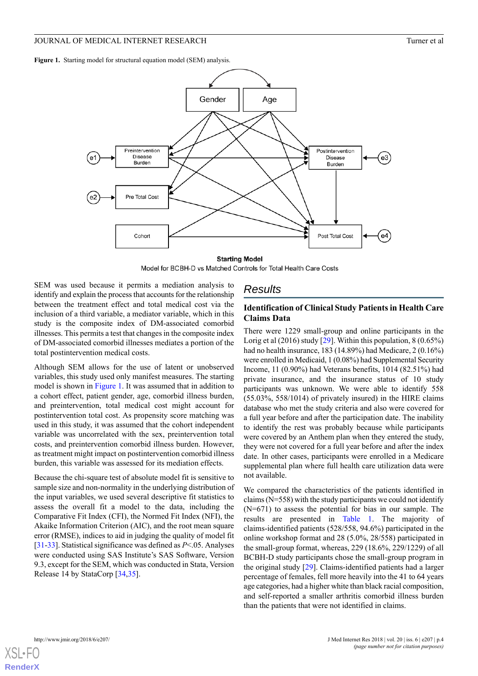<span id="page-3-0"></span>Figure 1. Starting model for structural equation model (SEM) analysis.



**Starting Model** Model for BCBH-D vs Matched Controls for Total Health Care Costs

SEM was used because it permits a mediation analysis to identify and explain the process that accounts for the relationship between the treatment effect and total medical cost via the inclusion of a third variable, a mediator variable, which in this study is the composite index of DM-associated comorbid illnesses. This permits a test that changes in the composite index of DM-associated comorbid illnesses mediates a portion of the total postintervention medical costs.

Although SEM allows for the use of latent or unobserved variables, this study used only manifest measures. The starting model is shown in [Figure 1.](#page-3-0) It was assumed that in addition to a cohort effect, patient gender, age, comorbid illness burden, and preintervention, total medical cost might account for postintervention total cost. As propensity score matching was used in this study, it was assumed that the cohort independent variable was uncorrelated with the sex, preintervention total costs, and preintervention comorbid illness burden. However, as treatment might impact on postintervention comorbid illness burden, this variable was assessed for its mediation effects.

Because the chi-square test of absolute model fit is sensitive to sample size and non-normality in the underlying distribution of the input variables, we used several descriptive fit statistics to assess the overall fit a model to the data, including the Comparative Fit Index (CFI), the Normed Fit Index (NFI), the Akaike Information Criterion (AIC), and the root mean square error (RMSE), indices to aid in judging the quality of model fit [[31-](#page-13-5)[33\]](#page-13-6). Statistical significance was defined as *P*<.05. Analyses were conducted using SAS Institute's SAS Software, Version 9.3, except for the SEM, which was conducted in Stata, Version Release 14 by StataCorp [[34](#page-13-7)[,35](#page-13-8)].

# *Results*

# **Identification of Clinical Study Patients in Health Care Claims Data**

There were 1229 small-group and online participants in the Lorig et al  $(2016)$  study  $[29]$  $[29]$ . Within this population,  $8(0.65\%)$ had no health insurance, 183 (14.89%) had Medicare, 2 (0.16%) were enrolled in Medicaid, 1 (0.08%) had Supplemental Security Income, 11 (0.90%) had Veterans benefits, 1014 (82.51%) had private insurance, and the insurance status of 10 study participants was unknown. We were able to identify 558 (55.03%, 558/1014) of privately insured) in the HIRE claims database who met the study criteria and also were covered for a full year before and after the participation date. The inability to identify the rest was probably because while participants were covered by an Anthem plan when they entered the study, they were not covered for a full year before and after the index date. In other cases, participants were enrolled in a Medicare supplemental plan where full health care utilization data were not available.

We compared the characteristics of the patients identified in claims (N=558) with the study participants we could not identify (N=671) to assess the potential for bias in our sample. The results are presented in [Table 1.](#page-4-0) The majority of claims-identified patients (528/558, 94.6%) participated in the online workshop format and 28 (5.0%, 28/558) participated in the small-group format, whereas, 229 (18.6%, 229/1229) of all BCBH-D study participants chose the small-group program in the original study [\[29](#page-13-3)]. Claims-identified patients had a larger percentage of females, fell more heavily into the 41 to 64 years age categories, had a higher white than black racial composition, and self-reported a smaller arthritis comorbid illness burden than the patients that were not identified in claims.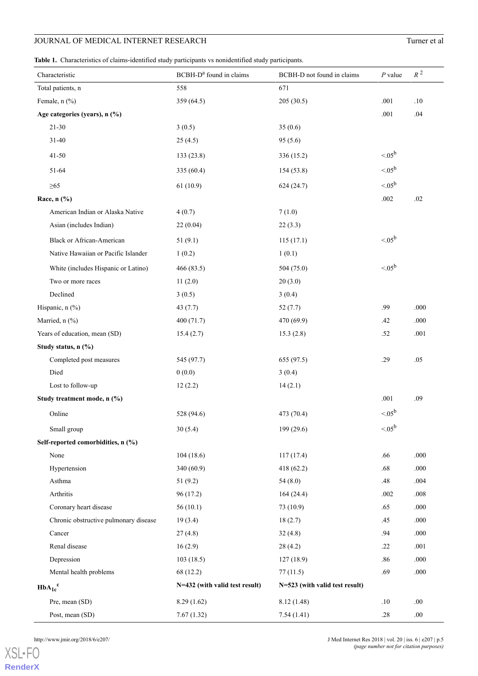<span id="page-4-0"></span>**Table 1.** Characteristics of claims-identified study participants vs nonidentified study participants.

| Characteristic                        | BCBH-D <sup>a</sup> found in claims | BCBH-D not found in claims     | $P$ value        | $R^2$   |
|---------------------------------------|-------------------------------------|--------------------------------|------------------|---------|
| Total patients, n                     | 558                                 | 671                            |                  |         |
| Female, n (%)                         | 359 (64.5)                          | 205(30.5)                      | .001             | .10     |
| Age categories (years), n (%)         |                                     |                                | .001             | .04     |
| $21 - 30$                             | 3(0.5)                              | 35(0.6)                        |                  |         |
| $31 - 40$                             | 25(4.5)                             | 95(5.6)                        |                  |         |
| $41 - 50$                             | 133(23.8)                           | 336 (15.2)                     | $< 05^{\rm b}$   |         |
| 51-64                                 | 335 (60.4)                          | 154(53.8)                      | $< 05^{\rm b}$   |         |
| $\geq 65$                             | 61(10.9)                            | 624(24.7)                      | $< 05^{\rm b}$   |         |
| Race, n (%)                           |                                     |                                | .002             | .02     |
| American Indian or Alaska Native      | 4(0.7)                              | 7(1.0)                         |                  |         |
| Asian (includes Indian)               | 22(0.04)                            | 22(3.3)                        |                  |         |
| Black or African-American             | 51(9.1)                             | 115(17.1)                      | $< 05^{\rm b}$   |         |
| Native Hawaiian or Pacific Islander   | 1(0.2)                              | 1(0.1)                         |                  |         |
| White (includes Hispanic or Latino)   | 466(83.5)                           | 504(75.0)                      | $< 05^{\rm b}$   |         |
| Two or more races                     | 11(2.0)                             | 20(3.0)                        |                  |         |
| Declined                              | 3(0.5)                              | 3(0.4)                         |                  |         |
| Hispanic, $n$ (%)                     | 43(7.7)                             | 52(7.7)                        | .99              | .000    |
| Married, n (%)                        | 400(71.7)                           | 470 (69.9)                     | .42              | .000    |
| Years of education, mean (SD)         | 15.4(2.7)                           | 15.3(2.8)                      | .52              | .001    |
| Study status, n (%)                   |                                     |                                |                  |         |
| Completed post measures               | 545 (97.7)                          | 655 (97.5)                     | .29              | .05     |
| Died                                  | 0(0.0)                              | 3(0.4)                         |                  |         |
| Lost to follow-up                     | 12(2.2)                             | 14(2.1)                        |                  |         |
| Study treatment mode, n (%)           |                                     |                                | .001             | .09     |
| Online                                | 528 (94.6)                          | 473 (70.4)                     | $< 05^{\rm b}$   |         |
| Small group                           | 30(5.4)                             | 199 (29.6)                     | $< 0.05^{\rm b}$ |         |
| Self-reported comorbidities, n (%)    |                                     |                                |                  |         |
| None                                  | 104(18.6)                           | 117(17.4)                      | .66              | .000    |
| Hypertension                          | 340(60.9)                           | 418 (62.2)                     | .68              | .000    |
| Asthma                                | 51(9.2)                             | 54(8.0)                        | .48              | .004    |
| Arthritis                             | 96 (17.2)                           | 164(24.4)                      | .002             | .008    |
| Coronary heart disease                | 56(10.1)                            | 73 (10.9)                      | .65              | .000    |
| Chronic obstructive pulmonary disease | 19(3.4)                             | 18(2.7)                        | .45              | .000    |
| Cancer                                | 27(4.8)                             | 32(4.8)                        | .94              | .000    |
| Renal disease                         | 16(2.9)                             | 28(4.2)                        | .22              | .001    |
| Depression                            | 103(18.5)                           | 127(18.9)                      | .86              | .000    |
| Mental health problems                | 68 (12.2)                           | 77(11.5)                       | .69              | .000    |
| $HbA_{1c}^c$                          | N=432 (with valid test result)      | N=523 (with valid test result) |                  |         |
| Pre, mean (SD)                        | 8.29(1.62)                          | 8.12(1.48)                     | .10              | .00     |
| Post, mean (SD)                       | 7.67(1.32)                          | 7.54(1.41)                     | $.28\,$          | $.00\,$ |

[XSL](http://www.w3.org/Style/XSL)•FO **[RenderX](http://www.renderx.com/)**

http://www.jmir.org/2018/6/e207/ **Department Res 2018** | vol. 20 | iss. 6 | e207 | p.5 *(page number not for citation purposes)*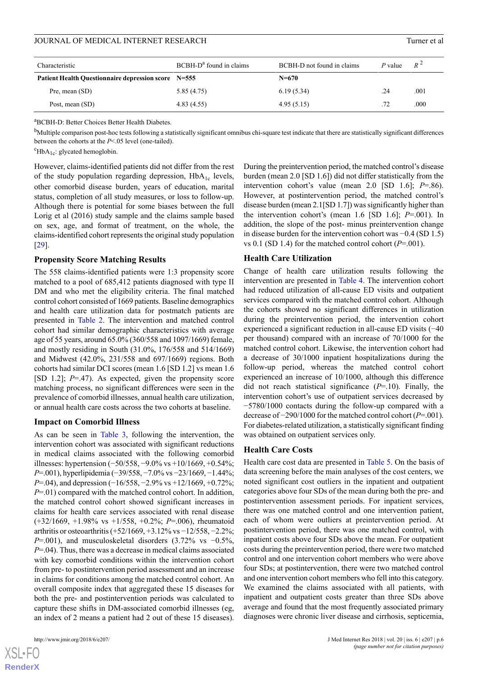| Characteristic                                             | $BCBH-Da$ found in claims | BCBH-D not found in claims | P value | $R^2$ |
|------------------------------------------------------------|---------------------------|----------------------------|---------|-------|
| <b>Patient Health Questionnaire depression score</b> N=555 |                           | $N = 670$                  |         |       |
| Pre, mean (SD)                                             | 5.85(4.75)                | 6.19(5.34)                 | .24     | .001  |
| Post, mean (SD)                                            | 4.83(4.55)                | 4.95(5.15)                 | .72     | .000  |

<sup>a</sup>BCBH-D: Better Choices Better Health Diabetes.

<sup>b</sup>Multiple comparison post-hoc tests following a statistically significant omnibus chi-square test indicate that there are statistically significant differences between the cohorts at the *P*<.05 level (one-tailed).

 $\mathrm{^cHbA}_{1c}$ : glycated hemoglobin.

However, claims-identified patients did not differ from the rest of the study population regarding depression,  $HbA_{1c}$  levels, other comorbid disease burden, years of education, marital status, completion of all study measures, or loss to follow-up. Although there is potential for some biases between the full Lorig et al (2016) study sample and the claims sample based on sex, age, and format of treatment, on the whole, the claims-identified cohort represents the original study population [[29\]](#page-13-3).

# **Propensity Score Matching Results**

The 558 claims-identified patients were 1:3 propensity score matched to a pool of 685,412 patients diagnosed with type II DM and who met the eligibility criteria. The final matched control cohort consisted of 1669 patients. Baseline demographics and health care utilization data for postmatch patients are presented in [Table 2](#page-6-0). The intervention and matched control cohort had similar demographic characteristics with average age of 55 years, around 65.0% (360/558 and 1097/1669) female, and mostly residing in South (31.0%, 176/558 and 514/1669) and Midwest (42.0%, 231/558 and 697/1669) regions. Both cohorts had similar DCI scores (mean 1.6 [SD 1.2] vs mean 1.6 [SD 1.2]; *P*=.47). As expected, given the propensity score matching process, no significant differences were seen in the prevalence of comorbid illnesses, annual health care utilization, or annual health care costs across the two cohorts at baseline.

# **Impact on Comorbid Illness**

As can be seen in [Table 3,](#page-7-0) following the intervention, the intervention cohort was associated with significant reductions in medical claims associated with the following comorbid illnesses: hypertension (−50/558, −9.0% vs +10/1669, +0.54%; *P*=.001), hyperlipidemia (−39/558, −7.0% vs −23/1669, −1.44%; *P*=.04), and depression (−16/558, −2.9% vs +12/1669, +0.72%; *P*=.01) compared with the matched control cohort. In addition, the matched control cohort showed significant increases in claims for health care services associated with renal disease (+32/1669, +1.98% vs +1/558, +0.2%; *P*=.006), rheumatoid arthritis or osteoarthritis (+52/1669, +3.12% vs −12/558, −2.2%; *P*=.001), and musculoskeletal disorders (3.72% vs −0.5%, *P*=.04). Thus, there was a decrease in medical claims associated with key comorbid conditions within the intervention cohort from pre- to postintervention period assessment and an increase in claims for conditions among the matched control cohort. An overall composite index that aggregated these 15 diseases for both the pre- and postintervention periods was calculated to capture these shifts in DM-associated comorbid illnesses (eg, an index of 2 means a patient had 2 out of these 15 diseases).

 $XS$  • FC **[RenderX](http://www.renderx.com/)** During the preintervention period, the matched control's disease burden (mean 2.0 [SD 1.6]) did not differ statistically from the intervention cohort's value (mean 2.0 [SD 1.6]; *P*=.86). However, at postintervention period, the matched control's disease burden (mean 2.1[SD 1.7]) was significantly higher than the intervention cohort's (mean 1.6 [SD 1.6]; *P*=.001). In addition, the slope of the post- minus preintervention change in disease burden for the intervention cohort was −0.4 (SD 1.5) vs  $0.1$  (SD 1.4) for the matched control cohort ( $P=0.001$ ).

# **Health Care Utilization**

Change of health care utilization results following the intervention are presented in [Table 4](#page-8-0). The intervention cohort had reduced utilization of all-cause ED visits and outpatient services compared with the matched control cohort. Although the cohorts showed no significant differences in utilization during the preintervention period, the intervention cohort experienced a significant reduction in all-cause ED visits (−40 per thousand) compared with an increase of 70/1000 for the matched control cohort. Likewise, the intervention cohort had a decrease of 30/1000 inpatient hospitalizations during the follow-up period, whereas the matched control cohort experienced an increase of 10/1000, although this difference did not reach statistical significance (*P*=.10). Finally, the intervention cohort's use of outpatient services decreased by −5780/1000 contacts during the follow-up compared with a decrease of −290/1000 for the matched control cohort (*P*=.001). For diabetes-related utilization, a statistically significant finding was obtained on outpatient services only.

#### **Health Care Costs**

Health care cost data are presented in [Table 5.](#page-9-0) On the basis of data screening before the main analyses of the cost centers, we noted significant cost outliers in the inpatient and outpatient categories above four SDs of the mean during both the pre- and postintervention assessment periods. For inpatient services, there was one matched control and one intervention patient, each of whom were outliers at preintervention period. At postintervention period, there was one matched control, with inpatient costs above four SDs above the mean. For outpatient costs during the preintervention period, there were two matched control and one intervention cohort members who were above four SDs; at postintervention, there were two matched control and one intervention cohort members who fell into this category. We examined the claims associated with all patients, with inpatient and outpatient costs greater than three SDs above average and found that the most frequently associated primary diagnoses were chronic liver disease and cirrhosis, septicemia,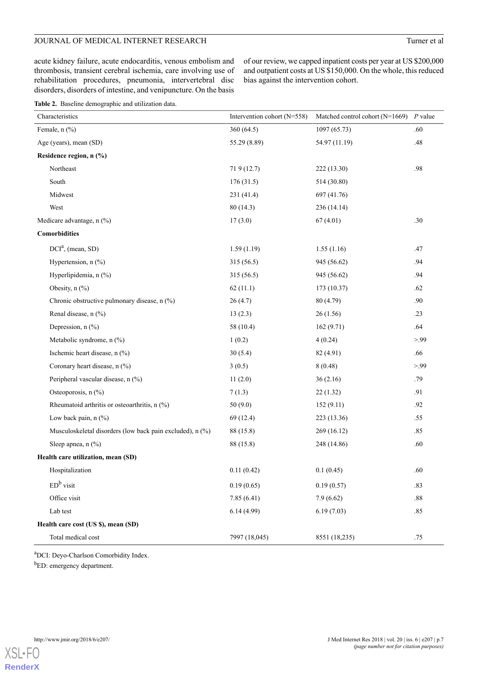acute kidney failure, acute endocarditis, venous embolism and thrombosis, transient cerebral ischemia, care involving use of rehabilitation procedures, pneumonia, intervertebral disc disorders, disorders of intestine, and venipuncture. On the basis

of our review, we capped inpatient costs per year at US \$200,000 and outpatient costs at US \$150,000. On the whole, this reduced bias against the intervention cohort.

<span id="page-6-0"></span>

| Table 2. Baseline demographic and utilization data. |  |
|-----------------------------------------------------|--|
|-----------------------------------------------------|--|

| Characteristics                                           | Intervention cohort (N=558) | Matched control cohort (N=1669) | $P$ value |
|-----------------------------------------------------------|-----------------------------|---------------------------------|-----------|
| Female, n (%)                                             | 360 (64.5)                  | 1097(65.73)                     | .60       |
| Age (years), mean (SD)                                    | 55.29 (8.89)                | 54.97 (11.19)                   | .48       |
| Residence region, n (%)                                   |                             |                                 |           |
| Northeast                                                 | 719 (12.7)                  | 222 (13.30)                     | .98       |
| South                                                     | 176(31.5)                   | 514 (30.80)                     |           |
| Midwest                                                   | 231 (41.4)                  | 697 (41.76)                     |           |
| West                                                      | 80(14.3)                    | 236 (14.14)                     |           |
| Medicare advantage, n (%)                                 | 17(3.0)                     | 67(4.01)                        | .30       |
| <b>Comorbidities</b>                                      |                             |                                 |           |
| $DCIa$ , (mean, SD)                                       | 1.59(1.19)                  | 1.55(1.16)                      | .47       |
| Hypertension, n (%)                                       | 315 (56.5)                  | 945 (56.62)                     | .94       |
| Hyperlipidemia, n (%)                                     | 315 (56.5)                  | 945 (56.62)                     | .94       |
| Obesity, $n$ $(\%)$                                       | 62(11.1)                    | 173 (10.37)                     | .62       |
| Chronic obstructive pulmonary disease, n (%)              | 26(4.7)                     | 80 (4.79)                       | .90       |
| Renal disease, n (%)                                      | 13(2.3)                     | 26(1.56)                        | .23       |
| Depression, n (%)                                         | 58 (10.4)                   | 162(9.71)                       | .64       |
| Metabolic syndrome, n (%)                                 | 1(0.2)                      | 4(0.24)                         | > 99      |
| Ischemic heart disease, n (%)                             | 30(5.4)                     | 82 (4.91)                       | .66       |
| Coronary heart disease, n (%)                             | 3(0.5)                      | 8(0.48)                         | >99       |
| Peripheral vascular disease, n (%)                        | 11(2.0)                     | 36(2.16)                        | .79       |
| Osteoporosis, n (%)                                       | 7(1.3)                      | 22(1.32)                        | .91       |
| Rheumatoid arthritis or osteoarthritis, n (%)             | 50(9.0)                     | 152(9.11)                       | .92       |
| Low back pain, $n$ (%)                                    | 69 (12.4)                   | 223 (13.36)                     | .55       |
| Musculoskeletal disorders (low back pain excluded), n (%) | 88 (15.8)                   | 269 (16.12)                     | .85       |
| Sleep apnea, n (%)                                        | 88 (15.8)                   | 248 (14.86)                     | .60       |
| Health care utilization, mean (SD)                        |                             |                                 |           |
| Hospitalization                                           | 0.11(0.42)                  | 0.1(0.45)                       | .60       |
| $EDb$ visit                                               | 0.19(0.65)                  | 0.19(0.57)                      | .83       |
| Office visit                                              | 7.85(6.41)                  | 7.9(6.62)                       | .88       |
| Lab test                                                  | 6.14(4.99)                  | 6.19(7.03)                      | .85       |
| Health care cost (US \$), mean (SD)                       |                             |                                 |           |
| Total medical cost                                        | 7997 (18,045)               | 8551 (18,235)                   | $.75\,$   |

<sup>a</sup>DCI: Deyo-Charlson Comorbidity Index.

b<sub>ED</sub>: emergency department.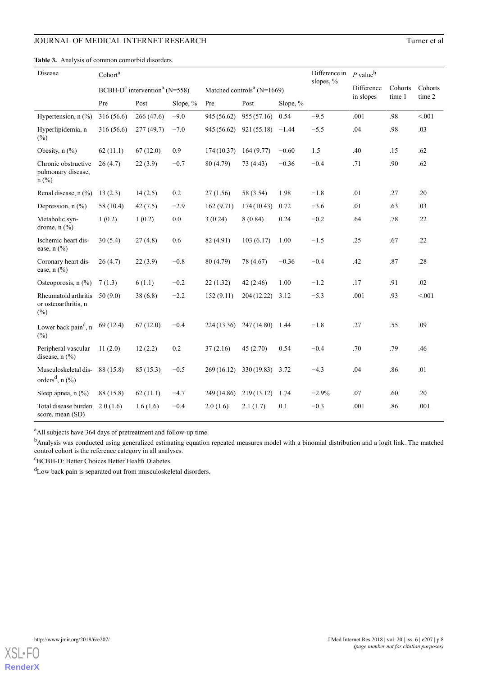<span id="page-7-0"></span>**Table 3.** Analysis of common comorbid disorders.

| Disease                                                     | Cohort <sup>a</sup> |                                               |          |             |                                            |          | Difference in<br>slopes, % | $P$ value <sup>b</sup> |         |         |
|-------------------------------------------------------------|---------------------|-----------------------------------------------|----------|-------------|--------------------------------------------|----------|----------------------------|------------------------|---------|---------|
|                                                             |                     | BCBH- $D^c$ intervention <sup>a</sup> (N=558) |          |             | Matched controls <sup>a</sup> ( $N=1669$ ) |          |                            | Difference             | Cohorts | Cohorts |
|                                                             | Pre                 | Post                                          | Slope, % | Pre         | Post                                       | Slope, % |                            | in slopes              | time 1  | time 2  |
| Hypertension, $n$ (%)                                       | 316 (56.6)          | 266 (47.6)                                    | $-9.0$   | 945 (56.62) | 955(57.16)                                 | 0.54     | $-9.5$                     | .001                   | .98     | < 0.01  |
| Hyperlipidemia, n<br>(%)                                    | 316 (56.6)          | 277(49.7)                                     | $-7.0$   | 945 (56.62) | 921 (55.18)                                | $-1.44$  | $-5.5$                     | .04                    | .98     | .03     |
| Obesity, n (%)                                              | 62(11.1)            | 67(12.0)                                      | 0.9      | 174(10.37)  | 164(9.77)                                  | $-0.60$  | 1.5                        | .40                    | .15     | .62     |
| Chronic obstructive<br>pulmonary disease,<br>$n$ (%)        | 26(4.7)             | 22(3.9)                                       | $-0.7$   | 80 (4.79)   | 73 (4.43)                                  | $-0.36$  | $-0.4$                     | .71                    | .90     | .62     |
| Renal disease, $n$ (%)                                      | 13(2.3)             | 14(2.5)                                       | $0.2\,$  | 27(1.56)    | 58 (3.54)                                  | 1.98     | $-1.8$                     | .01                    | .27     | .20     |
| Depression, $n$ (%)                                         | 58 (10.4)           | 42(7.5)                                       | $-2.9$   | 162(9.71)   | 174(10.43)                                 | 0.72     | $-3.6$                     | .01                    | .63     | .03     |
| Metabolic syn-<br>drome, $n$ $\left(\frac{9}{0}\right)$     | 1(0.2)              | 1(0.2)                                        | $0.0\,$  | 3(0.24)     | 8(0.84)                                    | 0.24     | $-0.2$                     | .64                    | .78     | .22     |
| Ischemic heart dis-<br>ease, $n$ $(\%)$                     | 30(5.4)             | 27(4.8)                                       | 0.6      | 82 (4.91)   | 103(6.17)                                  | 1.00     | $-1.5$                     | .25                    | .67     | .22     |
| Coronary heart dis-<br>ease, $n$ $\left(\frac{9}{6}\right)$ | 26(4.7)             | 22(3.9)                                       | $-0.8$   | 80 (4.79)   | 78 (4.67)                                  | $-0.36$  | $-0.4$                     | .42                    | .87     | .28     |
| Osteoporosis, n (%)                                         | 7(1.3)              | 6(1.1)                                        | $-0.2$   | 22(1.32)    | 42(2.46)                                   | 1.00     | $-1.2$                     | .17                    | .91     | .02     |
| Rheumatoid arthritis<br>or osteoarthritis, n<br>$(\%)$      | 50(9.0)             | 38(6.8)                                       | $-2.2$   | 152(9.11)   | 204 (12.22)                                | 3.12     | $-5.3$                     | .001                   | .93     | < 0.001 |
| Lower back pain <sup>d</sup> , n<br>$(\%)$                  | 69 (12.4)           | 67(12.0)                                      | $-0.4$   | 224 (13.36) | 247(14.80)                                 | 1.44     | $-1.8$                     | .27                    | .55     | .09     |
| Peripheral vascular<br>disease, $n$ (%)                     | 11(2.0)             | 12(2.2)                                       | 0.2      | 37(2.16)    | 45(2.70)                                   | 0.54     | $-0.4$                     | .70                    | .79     | .46     |
| Musculoskeletal dis-<br>orders <sup>d</sup> , $n$ (%)       | 88 (15.8)           | 85 (15.3)                                     | $-0.5$   | 269(16.12)  | 330(19.83)                                 | 3.72     | $-4.3$                     | .04                    | .86     | .01     |
| Sleep apnea, $n$ (%)                                        | 88 (15.8)           | 62(11.1)                                      | $-4.7$   | 249 (14.86) | 219(13.12)                                 | 1.74     | $-2.9%$                    | .07                    | .60     | .20     |
| Total disease burden<br>score, mean (SD)                    | 2.0(1.6)            | 1.6(1.6)                                      | $-0.4$   | 2.0(1.6)    | 2.1(1.7)                                   | 0.1      | $-0.3$                     | .001                   | .86     | .001    |

<sup>a</sup>All subjects have 364 days of pretreatment and follow-up time.

<sup>b</sup>Analysis was conducted using generalized estimating equation repeated measures model with a binomial distribution and a logit link. The matched control cohort is the reference category in all analyses.

<sup>c</sup>BCBH-D: Better Choices Better Health Diabetes.

<sup>d</sup>Low back pain is separated out from musculoskeletal disorders.

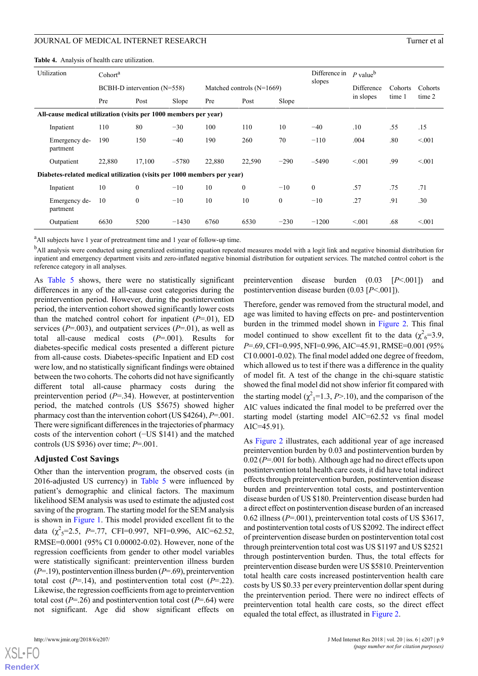<span id="page-8-0"></span>**Table 4.** Analysis of health care utilization.

|                                                                  | Utilization                                                             | Cohort <sup>a</sup>             |                |         |                             |              |                | Difference in<br>slopes | $P$ value <sup>b</sup> |         |         |
|------------------------------------------------------------------|-------------------------------------------------------------------------|---------------------------------|----------------|---------|-----------------------------|--------------|----------------|-------------------------|------------------------|---------|---------|
|                                                                  |                                                                         | $BCBH-D$ intervention $(N=558)$ |                |         | Matched controls $(N=1669)$ |              |                |                         | Difference             | Cohorts | Cohorts |
|                                                                  |                                                                         | Pre                             | Post           | Slope   | Pre                         | Post         | Slope          |                         | in slopes              | time 1  | time 2  |
| All-cause medical utilization (visits per 1000 members per year) |                                                                         |                                 |                |         |                             |              |                |                         |                        |         |         |
|                                                                  | Inpatient                                                               | 110                             | 80             | $-30$   | 100                         | 110          | 10             | $-40$                   | .10                    | .55     | .15     |
|                                                                  | Emergency de-<br>partment                                               | 190                             | 150            | $-40$   | 190                         | 260          | 70             | $-110$                  | .004                   | .80     | < 0.01  |
|                                                                  | Outpatient                                                              | 22,880                          | 17,100         | $-5780$ | 22,880                      | 22,590       | $-290$         | $-5490$                 | < 0.01                 | .99     | < 0.01  |
|                                                                  | Diabetes-related medical utilization (visits per 1000 members per year) |                                 |                |         |                             |              |                |                         |                        |         |         |
|                                                                  | Inpatient                                                               | 10                              | $\overline{0}$ | $-10$   | 10                          | $\mathbf{0}$ | $-10$          | $\theta$                | .57                    | .75     | .71     |
|                                                                  | Emergency de-<br>partment                                               | 10                              | $\overline{0}$ | $-10$   | 10                          | 10           | $\overline{0}$ | $-10$                   | .27                    | .91     | .30     |
|                                                                  | Outpatient                                                              | 6630                            | 5200           | $-1430$ | 6760                        | 6530         | $-230$         | $-1200$                 | < 0.01                 | .68     | < 0.01  |

<sup>a</sup>All subjects have 1 year of pretreatment time and 1 year of follow-up time.

<sup>b</sup>All analysis were conducted using generalized estimating equation repeated measures model with a logit link and negative binomial distribution for inpatient and emergency department visits and zero-inflated negative binomial distribution for outpatient services. The matched control cohort is the reference category in all analyses.

As [Table 5](#page-9-0) shows, there were no statistically significant differences in any of the all-cause cost categories during the preintervention period. However, during the postintervention period, the intervention cohort showed significantly lower costs than the matched control cohort for inpatient (*P*=.01), ED services ( $P=0.003$ ), and outpatient services ( $P=0.01$ ), as well as total all-cause medical costs (*P*=.001). Results for diabetes-specific medical costs presented a different picture from all-cause costs. Diabetes-specific Inpatient and ED cost were low, and no statistically significant findings were obtained between the two cohorts. The cohorts did not have significantly different total all-cause pharmacy costs during the preintervention period (*P*=.34). However, at postintervention period, the matched controls (US \$5675) showed higher pharmacy cost than the intervention cohort (US \$4264), *P*=.001. There were significant differences in the trajectories of pharmacy costs of the intervention cohort (−US \$141) and the matched controls (US \$936) over time; *P*=.001.

#### **Adjusted Cost Savings**

Other than the intervention program, the observed costs (in 2016-adjusted US currency) in [Table 5](#page-9-0) were influenced by patient's demographic and clinical factors. The maximum likelihood SEM analysis was used to estimate the adjusted cost saving of the program. The starting model for the SEM analysis is shown in [Figure 1.](#page-3-0) This model provided excellent fit to the data  $(\chi^2_{5} = 2.5, P = .77, CFI = 0.997, NFI = 0.996, AIC = 62.52,$ RMSE=0.0001 (95% CI 0.00002-0.02). However, none of the regression coefficients from gender to other model variables were statistically significant: preintervention illness burden (*P*=.19), postintervention illness burden (*P*=.69), preintervention total cost  $(P=14)$ , and postintervention total cost  $(P=22)$ . Likewise, the regression coefficients from age to preintervention total cost  $(P=26)$  and postintervention total cost  $(P=64)$  were not significant. Age did show significant effects on

 $XSJ \cdot F$ **[RenderX](http://www.renderx.com/)** preintervention disease burden (0.03 [*P*<.001]) and postintervention disease burden (0.03 [*P*<.001]).

Therefore, gender was removed from the structural model, and age was limited to having effects on pre- and postintervention burden in the trimmed model shown in [Figure 2](#page-9-1). This final model continued to show excellent fit to the data  $(\chi^2_{6}=3.9,$ *P*=.69, CFI=0.995, NFI=0.996, AIC=45.91, RMSE=0.001 (95% CI 0.0001-0.02). The final model added one degree of freedom, which allowed us to test if there was a difference in the quality of model fit. A test of the change in the chi-square statistic showed the final model did not show inferior fit compared with the starting model  $(\chi^2_1=1.3, P>10)$ , and the comparison of the AIC values indicated the final model to be preferred over the starting model (starting model AIC=62.52 vs final model AIC=45.91).

As [Figure 2](#page-9-1) illustrates, each additional year of age increased preintervention burden by 0.03 and postintervention burden by 0.02 (*P*=.001 for both). Although age had no direct effects upon postintervention total health care costs, it did have total indirect effects through preintervention burden, postintervention disease burden and preintervention total costs, and postintervention disease burden of US \$180. Preintervention disease burden had a direct effect on postintervention disease burden of an increased 0.62 illness (*P*=.001), preintervention total costs of US \$3617, and postintervention total costs of US \$2092. The indirect effect of preintervention disease burden on postintervention total cost through preintervention total cost was US \$1197 and US \$2521 through postintervention burden. Thus, the total effects for preintervention disease burden were US \$5810. Preintervention total health care costs increased postintervention health care costs by US \$0.33 per every preintervention dollar spent during the preintervention period. There were no indirect effects of preintervention total health care costs, so the direct effect equaled the total effect, as illustrated in [Figure 2.](#page-9-1)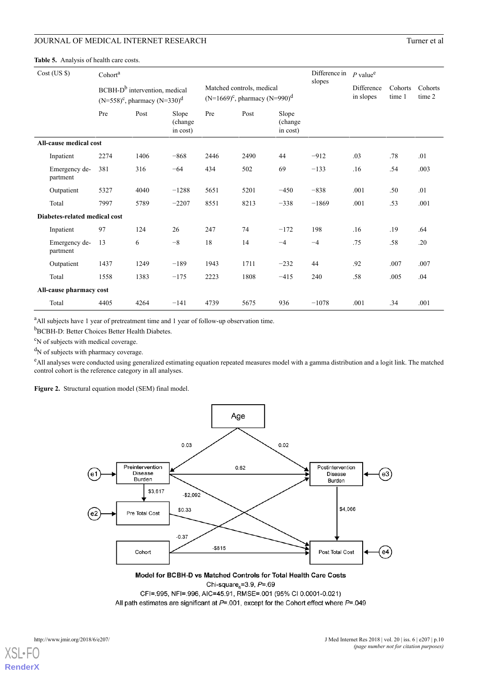<span id="page-9-0"></span>**Table 5.** Analysis of health care costs.

|                         | $Cost$ (US $\})$              | Cohort <sup>a</sup> |                                                                                 |                               |      |                                                                  |                              | Difference in<br>slopes | $P$ value <sup>e</sup>  |                   |                   |
|-------------------------|-------------------------------|---------------------|---------------------------------------------------------------------------------|-------------------------------|------|------------------------------------------------------------------|------------------------------|-------------------------|-------------------------|-------------------|-------------------|
|                         |                               |                     | BCBH-D <sup>b</sup> intervention, medical<br>$(N=558)^c$ , pharmacy $(N=330)^d$ |                               |      | Matched controls, medical<br>$(N=1669)^c$ , pharmacy $(N=990)^d$ |                              |                         | Difference<br>in slopes | Cohorts<br>time 1 | Cohorts<br>time 2 |
|                         |                               | Pre                 | Post                                                                            | Slope<br>(change)<br>in cost) | Pre  | Post                                                             | Slope<br>(change<br>in cost) |                         |                         |                   |                   |
|                         | All-cause medical cost        |                     |                                                                                 |                               |      |                                                                  |                              |                         |                         |                   |                   |
|                         | Inpatient                     | 2274                | 1406                                                                            | $-868$                        | 2446 | 2490                                                             | 44                           | $-912$                  | .03                     | .78               | .01               |
|                         | Emergency de-<br>partment     | 381                 | 316                                                                             | $-64$                         | 434  | 502                                                              | 69                           | $-133$                  | .16                     | .54               | .003              |
|                         | Outpatient                    | 5327                | 4040                                                                            | $-1288$                       | 5651 | 5201                                                             | $-450$                       | $-838$                  | .001                    | .50               | .01               |
|                         | Total                         | 7997                | 5789                                                                            | $-2207$                       | 8551 | 8213                                                             | $-338$                       | $-1869$                 | .001                    | .53               | .001              |
|                         | Diabetes-related medical cost |                     |                                                                                 |                               |      |                                                                  |                              |                         |                         |                   |                   |
|                         | Inpatient                     | 97                  | 124                                                                             | 26                            | 247  | 74                                                               | $-172$                       | 198                     | .16                     | .19               | .64               |
|                         | Emergency de-<br>partment     | 13                  | 6                                                                               | $-8$                          | 18   | 14                                                               | $-4$                         | $-4$                    | .75                     | .58               | .20               |
|                         | Outpatient                    | 1437                | 1249                                                                            | $-189$                        | 1943 | 1711                                                             | $-232$                       | 44                      | .92                     | .007              | .007              |
|                         | Total                         | 1558                | 1383                                                                            | $-175$                        | 2223 | 1808                                                             | $-415$                       | 240                     | .58                     | .005              | .04               |
| All-cause pharmacy cost |                               |                     |                                                                                 |                               |      |                                                                  |                              |                         |                         |                   |                   |
|                         | Total                         | 4405                | 4264                                                                            | $-141$                        | 4739 | 5675                                                             | 936                          | $-1078$                 | .001                    | .34               | .001              |

<sup>a</sup>All subjects have 1 year of pretreatment time and 1 year of follow-up observation time.

**b**BCBH-D: Better Choices Better Health Diabetes.

<sup>c</sup>N of subjects with medical coverage.

<span id="page-9-1"></span> $\mathrm{d}_{\mathrm{N}}$  of subjects with pharmacy coverage.

<sup>e</sup>All analyses were conducted using generalized estimating equation repeated measures model with a gamma distribution and a logit link. The matched control cohort is the reference category in all analyses.

Figure 2. Structural equation model (SEM) final model.



Model for BCBH-D vs Matched Controls for Total Health Care Costs Chi-square = 3.9,  $P = .69$ 

CFI=.995, NFI=.996, AIC=45.91, RMSE=.001 (95% CI 0.0001-0.021) All path estimates are significant at  $P = .001$ , except for the Cohort effect where  $P = .049$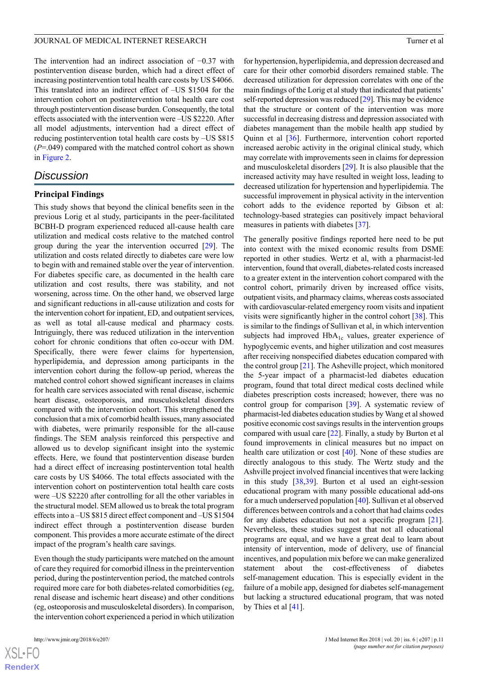The intervention had an indirect association of −0.37 with postintervention disease burden, which had a direct effect of increasing postintervention total health care costs by US \$4066. This translated into an indirect effect of –US \$1504 for the intervention cohort on postintervention total health care cost through postintervention disease burden. Consequently, the total effects associated with the intervention were –US \$2220. After all model adjustments, intervention had a direct effect of reducing postintervention total health care costs by –US \$815 (*P*=.049) compared with the matched control cohort as shown in [Figure 2](#page-9-1).

# *Discussion*

## **Principal Findings**

This study shows that beyond the clinical benefits seen in the previous Lorig et al study, participants in the peer-facilitated BCBH-D program experienced reduced all-cause health care utilization and medical costs relative to the matched control group during the year the intervention occurred [\[29](#page-13-3)]. The utilization and costs related directly to diabetes care were low to begin with and remained stable over the year of intervention. For diabetes specific care, as documented in the health care utilization and cost results, there was stability, and not worsening, across time. On the other hand, we observed large and significant reductions in all-cause utilization and costs for the intervention cohort for inpatient, ED, and outpatient services, as well as total all-cause medical and pharmacy costs. Intriguingly, there was reduced utilization in the intervention cohort for chronic conditions that often co-occur with DM. Specifically, there were fewer claims for hypertension, hyperlipidemia, and depression among participants in the intervention cohort during the follow-up period, whereas the matched control cohort showed significant increases in claims for health care services associated with renal disease, ischemic heart disease, osteoporosis, and musculoskeletal disorders compared with the intervention cohort. This strengthened the conclusion that a mix of comorbid health issues, many associated with diabetes, were primarily responsible for the all-cause findings. The SEM analysis reinforced this perspective and allowed us to develop significant insight into the systemic effects. Here, we found that postintervention disease burden had a direct effect of increasing postintervention total health care costs by US \$4066. The total effects associated with the intervention cohort on postintervention total health care costs were –US \$2220 after controlling for all the other variables in the structural model. SEM allowed us to break the total program effects into a –US \$815 direct effect component and –US \$1504 indirect effect through a postintervention disease burden component. This provides a more accurate estimate of the direct impact of the program's health care savings.

Even though the study participants were matched on the amount of care they required for comorbid illness in the preintervention period, during the postintervention period, the matched controls required more care for both diabetes-related comorbidities (eg, renal disease and ischemic heart disease) and other conditions (eg, osteoporosis and musculoskeletal disorders). In comparison, the intervention cohort experienced a period in which utilization

for hypertension, hyperlipidemia, and depression decreased and care for their other comorbid disorders remained stable. The decreased utilization for depression correlates with one of the main findings of the Lorig et al study that indicated that patients' self-reported depression was reduced [[29\]](#page-13-3). This may be evidence that the structure or content of the intervention was more successful in decreasing distress and depression associated with diabetes management than the mobile health app studied by Quinn et al [[36\]](#page-13-9). Furthermore, intervention cohort reported increased aerobic activity in the original clinical study, which may correlate with improvements seen in claims for depression and musculoskeletal disorders [[29\]](#page-13-3). It is also plausible that the increased activity may have resulted in weight loss, leading to decreased utilization for hypertension and hyperlipidemia. The successful improvement in physical activity in the intervention cohort adds to the evidence reported by Gibson et al: technology-based strategies can positively impact behavioral measures in patients with diabetes [[37\]](#page-13-10).

The generally positive findings reported here need to be put into context with the mixed economic results from DSME reported in other studies. Wertz et al, with a pharmacist-led intervention, found that overall, diabetes-related costs increased to a greater extent in the intervention cohort compared with the control cohort, primarily driven by increased office visits, outpatient visits, and pharmacy claims, whereas costs associated with cardiovascular-related emergency room visits and inpatient visits were significantly higher in the control cohort [[38\]](#page-13-11). This is similar to the findings of Sullivan et al, in which intervention subjects had improved  $HbA_{1c}$  values, greater experience of hypoglycemic events, and higher utilization and cost measures after receiving nonspecified diabetes education compared with the control group [\[21](#page-12-11)]. The Asheville project, which monitored the 5-year impact of a pharmacist-led diabetes education program, found that total direct medical costs declined while diabetes prescription costs increased; however, there was no control group for comparison [\[39](#page-13-12)]. A systematic review of pharmacist-led diabetes education studies by Wang et al showed positive economic cost savings results in the intervention groups compared with usual care [[22\]](#page-12-12). Finally, a study by Burton et al found improvements in clinical measures but no impact on health care utilization or cost [[40\]](#page-13-13). None of these studies are directly analogous to this study. The Wertz study and the Ashville project involved financial incentives that were lacking in this study [[38](#page-13-11)[,39](#page-13-12)]. Burton et al used an eight-session educational program with many possible educational add-ons for a much underserved population [[40\]](#page-13-13). Sullivan et al observed differences between controls and a cohort that had claims codes for any diabetes education but not a specific program [[21\]](#page-12-11). Nevertheless, these studies suggest that not all educational programs are equal, and we have a great deal to learn about intensity of intervention, mode of delivery, use of financial incentives, and population mix before we can make generalized statement about the cost-effectiveness of diabetes self-management education. This is especially evident in the failure of a mobile app, designed for diabetes self-management but lacking a structured educational program, that was noted by Thies et al [[41\]](#page-13-14).

 $XS$ -FO **[RenderX](http://www.renderx.com/)**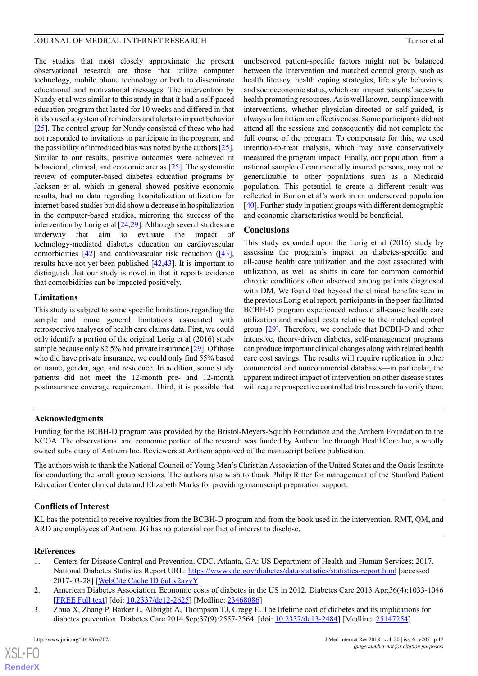The studies that most closely approximate the present observational research are those that utilize computer technology, mobile phone technology or both to disseminate educational and motivational messages. The intervention by Nundy et al was similar to this study in that it had a self-paced education program that lasted for 10 weeks and differed in that it also used a system of reminders and alerts to impact behavior [[25\]](#page-12-15). The control group for Nundy consisted of those who had not responded to invitations to participate in the program, and the possibility of introduced bias was noted by the authors [[25\]](#page-12-15). Similar to our results, positive outcomes were achieved in behavioral, clinical, and economic arenas [\[25](#page-12-15)]. The systematic review of computer-based diabetes education programs by Jackson et al, which in general showed positive economic results, had no data regarding hospitalization utilization for internet-based studies but did show a decrease in hospitalization in the computer-based studies, mirroring the success of the intervention by Lorig et al [\[24](#page-12-14),[29](#page-13-3)]. Although several studies are underway that aim to evaluate the impact of technology-mediated diabetes education on cardiovascular comorbidities [[42\]](#page-13-15) and cardiovascular risk reduction ([[43\]](#page-13-16), results have not yet been published [[42,](#page-13-15)[43](#page-13-16)]. It is important to distinguish that our study is novel in that it reports evidence that comorbidities can be impacted positively.

# **Limitations**

This study is subject to some specific limitations regarding the sample and more general limitations associated with retrospective analyses of health care claims data. First, we could only identify a portion of the original Lorig et al (2016) study sample because only 82.5% had private insurance [[29\]](#page-13-3). Of those who did have private insurance, we could only find 55% based on name, gender, age, and residence. In addition, some study patients did not meet the 12-month pre- and 12-month postinsurance coverage requirement. Third, it is possible that unobserved patient-specific factors might not be balanced between the Intervention and matched control group, such as health literacy, health coping strategies, life style behaviors, and socioeconomic status, which can impact patients' access to health promoting resources. As is well known, compliance with interventions, whether physician-directed or self-guided, is always a limitation on effectiveness. Some participants did not attend all the sessions and consequently did not complete the full course of the program. To compensate for this, we used intention-to-treat analysis, which may have conservatively measured the program impact. Finally, our population, from a national sample of commercially insured persons, may not be generalizable to other populations such as a Medicaid population. This potential to create a different result was reflected in Burton et al's work in an underserved population [[40\]](#page-13-13). Further study in patient groups with different demographic and economic characteristics would be beneficial.

# **Conclusions**

This study expanded upon the Lorig et al (2016) study by assessing the program's impact on diabetes-specific and all-cause health care utilization and the cost associated with utilization, as well as shifts in care for common comorbid chronic conditions often observed among patients diagnosed with DM. We found that beyond the clinical benefits seen in the previous Lorig et al report, participants in the peer-facilitated BCBH-D program experienced reduced all-cause health care utilization and medical costs relative to the matched control group [[29\]](#page-13-3). Therefore, we conclude that BCBH-D and other intensive, theory-driven diabetes, self-management programs can produce important clinical changes along with related health care cost savings. The results will require replication in other commercial and noncommercial databases—in particular, the apparent indirect impact of intervention on other disease states will require prospective controlled trial research to verify them.

# **Acknowledgments**

Funding for the BCBH-D program was provided by the Bristol-Meyers-Squibb Foundation and the Anthem Foundation to the NCOA. The observational and economic portion of the research was funded by Anthem Inc through HealthCore Inc, a wholly owned subsidiary of Anthem Inc. Reviewers at Anthem approved of the manuscript before publication.

The authors wish to thank the National Council of Young Men's Christian Association of the United States and the Oasis Institute for conducting the small group sessions. The authors also wish to thank Philip Ritter for management of the Stanford Patient Education Center clinical data and Elizabeth Marks for providing manuscript preparation support.

# <span id="page-11-0"></span>**Conflicts of Interest**

KL has the potential to receive royalties from the BCBH-D program and from the book used in the intervention. RMT, QM, and ARD are employees of Anthem. JG has no potential conflict of interest to disclose.

# <span id="page-11-1"></span>**References**

- 1. Centers for Disease Control and Prevention. CDC. Atlanta, GA: US Department of Health and Human Services; 2017. National Diabetes Statistics Report URL:<https://www.cdc.gov/diabetes/data/statistics/statistics-report.html> [accessed 2017-03-28] [\[WebCite Cache ID 6uLy2ayyY](http://www.webcitation.org/6uLy2ayyY)]
- 2. American Diabetes Association. Economic costs of diabetes in the US in 2012. Diabetes Care 2013 Apr;36(4):1033-1046 [[FREE Full text](http://europepmc.org/abstract/MED/23468086)] [doi: [10.2337/dc12-2625\]](http://dx.doi.org/10.2337/dc12-2625) [Medline: [23468086](http://www.ncbi.nlm.nih.gov/entrez/query.fcgi?cmd=Retrieve&db=PubMed&list_uids=23468086&dopt=Abstract)]
- 3. Zhuo X, Zhang P, Barker L, Albright A, Thompson TJ, Gregg E. The lifetime cost of diabetes and its implications for diabetes prevention. Diabetes Care 2014 Sep;37(9):2557-2564. [doi: [10.2337/dc13-2484\]](http://dx.doi.org/10.2337/dc13-2484) [Medline: [25147254](http://www.ncbi.nlm.nih.gov/entrez/query.fcgi?cmd=Retrieve&db=PubMed&list_uids=25147254&dopt=Abstract)]

 $XS$  $\cdot$ FC **[RenderX](http://www.renderx.com/)**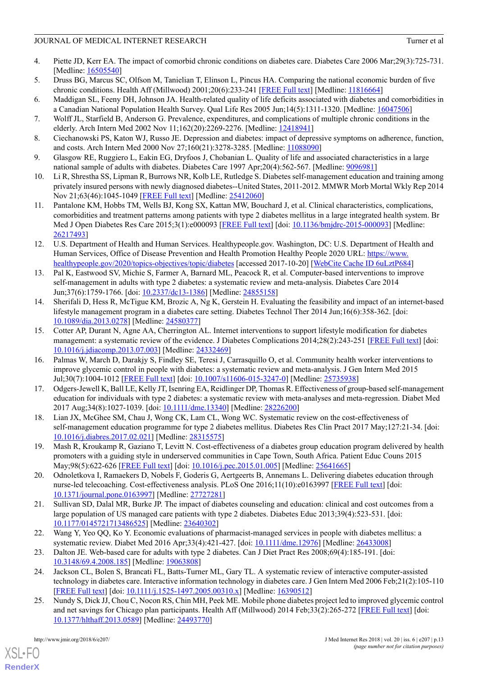- <span id="page-12-0"></span>4. Piette JD, Kerr EA. The impact of comorbid chronic conditions on diabetes care. Diabetes Care 2006 Mar;29(3):725-731. [Medline: [16505540](http://www.ncbi.nlm.nih.gov/entrez/query.fcgi?cmd=Retrieve&db=PubMed&list_uids=16505540&dopt=Abstract)]
- 5. Druss BG, Marcus SC, Olfson M, Tanielian T, Elinson L, Pincus HA. Comparing the national economic burden of five chronic conditions. Health Aff (Millwood) 2001;20(6):233-241 [[FREE Full text](http://content.healthaffairs.org/cgi/pmidlookup?view=long&pmid=11816664)] [Medline: [11816664\]](http://www.ncbi.nlm.nih.gov/entrez/query.fcgi?cmd=Retrieve&db=PubMed&list_uids=11816664&dopt=Abstract)
- 6. Maddigan SL, Feeny DH, Johnson JA. Health-related quality of life deficits associated with diabetes and comorbidities in a Canadian National Population Health Survey. Qual Life Res 2005 Jun;14(5):1311-1320. [Medline: [16047506](http://www.ncbi.nlm.nih.gov/entrez/query.fcgi?cmd=Retrieve&db=PubMed&list_uids=16047506&dopt=Abstract)]
- 7. Wolff JL, Starfield B, Anderson G. Prevalence, expenditures, and complications of multiple chronic conditions in the elderly. Arch Intern Med 2002 Nov 11;162(20):2269-2276. [Medline: [12418941\]](http://www.ncbi.nlm.nih.gov/entrez/query.fcgi?cmd=Retrieve&db=PubMed&list_uids=12418941&dopt=Abstract)
- 8. Ciechanowski PS, Katon WJ, Russo JE. Depression and diabetes: impact of depressive symptoms on adherence, function, and costs. Arch Intern Med 2000 Nov 27;160(21):3278-3285. [Medline: [11088090](http://www.ncbi.nlm.nih.gov/entrez/query.fcgi?cmd=Retrieve&db=PubMed&list_uids=11088090&dopt=Abstract)]
- 9. Glasgow RE, Ruggiero L, Eakin EG, Dryfoos J, Chobanian L. Quality of life and associated characteristics in a large national sample of adults with diabetes. Diabetes Care 1997 Apr; 20(4): 562-567. [Medline: [9096981](http://www.ncbi.nlm.nih.gov/entrez/query.fcgi?cmd=Retrieve&db=PubMed&list_uids=9096981&dopt=Abstract)]
- <span id="page-12-1"></span>10. Li R, Shrestha SS, Lipman R, Burrows NR, Kolb LE, Rutledge S. Diabetes self-management education and training among privately insured persons with newly diagnosed diabetes--United States, 2011-2012. MMWR Morb Mortal Wkly Rep 2014 Nov 21;63(46):1045-1049 [[FREE Full text](http://www.cdc.gov/mmwr/preview/mmwrhtml/mm6346a2.htm)] [Medline: [25412060\]](http://www.ncbi.nlm.nih.gov/entrez/query.fcgi?cmd=Retrieve&db=PubMed&list_uids=25412060&dopt=Abstract)
- <span id="page-12-2"></span>11. Pantalone KM, Hobbs TM, Wells BJ, Kong SX, Kattan MW, Bouchard J, et al. Clinical characteristics, complications, comorbidities and treatment patterns among patients with type 2 diabetes mellitus in a large integrated health system. Br Med J Open Diabetes Res Care 2015;3(1):e000093 [[FREE Full text](http://europepmc.org/abstract/MED/26217493)] [doi: [10.1136/bmjdrc-2015-000093](http://dx.doi.org/10.1136/bmjdrc-2015-000093)] [Medline: [26217493](http://www.ncbi.nlm.nih.gov/entrez/query.fcgi?cmd=Retrieve&db=PubMed&list_uids=26217493&dopt=Abstract)]
- <span id="page-12-3"></span>12. U.S. Department of Health and Human Services. Healthypeople.gov. Washington, DC: U.S. Department of Health and Human Services, Office of Disease Prevention and Health Promotion Healthy People 2020 URL: [https://www.](https://www.healthypeople.gov/2020/topics-objectives/topic/diabetes) [healthypeople.gov/2020/topics-objectives/topic/diabetes](https://www.healthypeople.gov/2020/topics-objectives/topic/diabetes) [accessed 2017-10-20] [[WebCite Cache ID 6uLztP684](http://www.webcitation.org/6uLztP684)]
- <span id="page-12-4"></span>13. Pal K, Eastwood SV, Michie S, Farmer A, Barnard ML, Peacock R, et al. Computer-based interventions to improve self-management in adults with type 2 diabetes: a systematic review and meta-analysis. Diabetes Care 2014 Jun;37(6):1759-1766. [doi: [10.2337/dc13-1386](http://dx.doi.org/10.2337/dc13-1386)] [Medline: [24855158](http://www.ncbi.nlm.nih.gov/entrez/query.fcgi?cmd=Retrieve&db=PubMed&list_uids=24855158&dopt=Abstract)]
- <span id="page-12-5"></span>14. Sherifali D, Hess R, McTigue KM, Brozic A, Ng K, Gerstein H. Evaluating the feasibility and impact of an internet-based lifestyle management program in a diabetes care setting. Diabetes Technol Ther 2014 Jun;16(6):358-362. [doi: [10.1089/dia.2013.0278\]](http://dx.doi.org/10.1089/dia.2013.0278) [Medline: [24580377\]](http://www.ncbi.nlm.nih.gov/entrez/query.fcgi?cmd=Retrieve&db=PubMed&list_uids=24580377&dopt=Abstract)
- <span id="page-12-6"></span>15. Cotter AP, Durant N, Agne AA, Cherrington AL. Internet interventions to support lifestyle modification for diabetes management: a systematic review of the evidence. J Diabetes Complications 2014;28(2):243-251 [\[FREE Full text\]](http://europepmc.org/abstract/MED/24332469) [doi: [10.1016/j.jdiacomp.2013.07.003\]](http://dx.doi.org/10.1016/j.jdiacomp.2013.07.003) [Medline: [24332469](http://www.ncbi.nlm.nih.gov/entrez/query.fcgi?cmd=Retrieve&db=PubMed&list_uids=24332469&dopt=Abstract)]
- <span id="page-12-7"></span>16. Palmas W, March D, Darakjy S, Findley SE, Teresi J, Carrasquillo O, et al. Community health worker interventions to improve glycemic control in people with diabetes: a systematic review and meta-analysis. J Gen Intern Med 2015 Jul;30(7):1004-1012 [\[FREE Full text](http://europepmc.org/abstract/MED/25735938)] [doi: [10.1007/s11606-015-3247-0](http://dx.doi.org/10.1007/s11606-015-3247-0)] [Medline: [25735938\]](http://www.ncbi.nlm.nih.gov/entrez/query.fcgi?cmd=Retrieve&db=PubMed&list_uids=25735938&dopt=Abstract)
- <span id="page-12-9"></span><span id="page-12-8"></span>17. Odgers-Jewell K, Ball LE, Kelly JT, Isenring EA, Reidlinger DP, Thomas R. Effectiveness of group-based self-management education for individuals with type 2 diabetes: a systematic review with meta-analyses and meta-regression. Diabet Med 2017 Aug;34(8):1027-1039. [doi: [10.1111/dme.13340\]](http://dx.doi.org/10.1111/dme.13340) [Medline: [28226200\]](http://www.ncbi.nlm.nih.gov/entrez/query.fcgi?cmd=Retrieve&db=PubMed&list_uids=28226200&dopt=Abstract)
- <span id="page-12-10"></span>18. Lian JX, McGhee SM, Chau J, Wong CK, Lam CL, Wong WC. Systematic review on the cost-effectiveness of self-management education programme for type 2 diabetes mellitus. Diabetes Res Clin Pract 2017 May;127:21-34. [doi: [10.1016/j.diabres.2017.02.021](http://dx.doi.org/10.1016/j.diabres.2017.02.021)] [Medline: [28315575](http://www.ncbi.nlm.nih.gov/entrez/query.fcgi?cmd=Retrieve&db=PubMed&list_uids=28315575&dopt=Abstract)]
- <span id="page-12-11"></span>19. Mash R, Kroukamp R, Gaziano T, Levitt N. Cost-effectiveness of a diabetes group education program delivered by health promoters with a guiding style in underserved communities in Cape Town, South Africa. Patient Educ Couns 2015 May;98(5):622-626 [\[FREE Full text\]](https://linkinghub.elsevier.com/retrieve/pii/S0738-3991(15)00011-7) [doi: [10.1016/j.pec.2015.01.005\]](http://dx.doi.org/10.1016/j.pec.2015.01.005) [Medline: [25641665\]](http://www.ncbi.nlm.nih.gov/entrez/query.fcgi?cmd=Retrieve&db=PubMed&list_uids=25641665&dopt=Abstract)
- <span id="page-12-12"></span>20. Odnoletkova I, Ramaekers D, Nobels F, Goderis G, Aertgeerts B, Annemans L. Delivering diabetes education through nurse-led telecoaching. Cost-effectiveness analysis. PLoS One 2016;11(10):e0163997 [[FREE Full text](http://dx.plos.org/10.1371/journal.pone.0163997)] [doi: [10.1371/journal.pone.0163997\]](http://dx.doi.org/10.1371/journal.pone.0163997) [Medline: [27727281](http://www.ncbi.nlm.nih.gov/entrez/query.fcgi?cmd=Retrieve&db=PubMed&list_uids=27727281&dopt=Abstract)]
- <span id="page-12-14"></span><span id="page-12-13"></span>21. Sullivan SD, Dalal MR, Burke JP. The impact of diabetes counseling and education: clinical and cost outcomes from a large population of US managed care patients with type 2 diabetes. Diabetes Educ 2013;39(4):523-531. [doi: [10.1177/0145721713486525](http://dx.doi.org/10.1177/0145721713486525)] [Medline: [23640302](http://www.ncbi.nlm.nih.gov/entrez/query.fcgi?cmd=Retrieve&db=PubMed&list_uids=23640302&dopt=Abstract)]
- <span id="page-12-15"></span>22. Wang Y, Yeo QQ, Ko Y. Economic evaluations of pharmacist-managed services in people with diabetes mellitus: a systematic review. Diabet Med 2016 Apr;33(4):421-427. [doi: [10.1111/dme.12976](http://dx.doi.org/10.1111/dme.12976)] [Medline: [26433008](http://www.ncbi.nlm.nih.gov/entrez/query.fcgi?cmd=Retrieve&db=PubMed&list_uids=26433008&dopt=Abstract)]
- 23. Dalton JE. Web-based care for adults with type 2 diabetes. Can J Diet Pract Res 2008;69(4):185-191. [doi: [10.3148/69.4.2008.185](http://dx.doi.org/10.3148/69.4.2008.185)] [Medline: [19063808](http://www.ncbi.nlm.nih.gov/entrez/query.fcgi?cmd=Retrieve&db=PubMed&list_uids=19063808&dopt=Abstract)]
- 24. Jackson CL, Bolen S, Brancati FL, Batts-Turner ML, Gary TL. A systematic review of interactive computer-assisted technology in diabetes care. Interactive information technology in diabetes care. J Gen Intern Med 2006 Feb;21(2):105-110 [[FREE Full text](http://onlinelibrary.wiley.com/resolve/openurl?genre=article&sid=nlm:pubmed&issn=0884-8734&date=2006&volume=21&issue=2&spage=105)] [doi: [10.1111/j.1525-1497.2005.00310.x\]](http://dx.doi.org/10.1111/j.1525-1497.2005.00310.x) [Medline: [16390512\]](http://www.ncbi.nlm.nih.gov/entrez/query.fcgi?cmd=Retrieve&db=PubMed&list_uids=16390512&dopt=Abstract)
- 25. Nundy S, Dick JJ, Chou C, Nocon RS, Chin MH, Peek ME. Mobile phone diabetes project led to improved glycemic control and net savings for Chicago plan participants. Health Aff (Millwood) 2014 Feb;33(2):265-272 [[FREE Full text](http://europepmc.org/abstract/MED/24493770)] [doi: [10.1377/hlthaff.2013.0589](http://dx.doi.org/10.1377/hlthaff.2013.0589)] [Medline: [24493770\]](http://www.ncbi.nlm.nih.gov/entrez/query.fcgi?cmd=Retrieve&db=PubMed&list_uids=24493770&dopt=Abstract)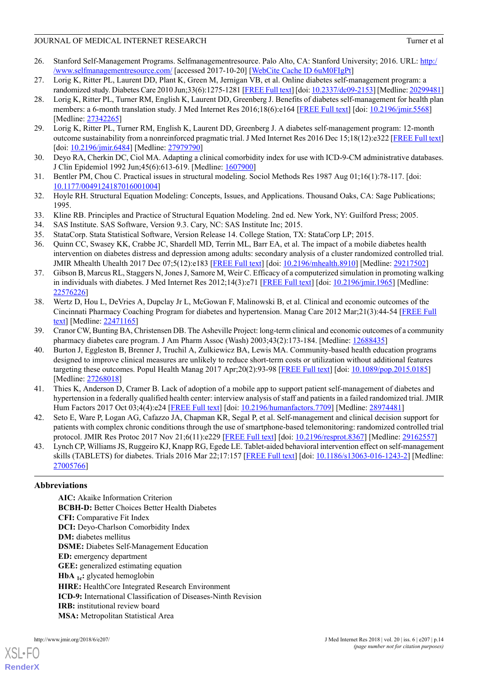- <span id="page-13-0"></span>26. Stanford Self-Management Programs. Selfmanagementresource. Palo Alto, CA: Stanford University; 2016. URL: [http:/](http://www.selfmanagementresource.com/) [/www.selfmanagementresource.com/](http://www.selfmanagementresource.com/) [accessed 2017-10-20] [[WebCite Cache ID 6uM0FIgPt](http://www.webcitation.org/6uM0FIgPt)]
- <span id="page-13-2"></span><span id="page-13-1"></span>27. Lorig K, Ritter PL, Laurent DD, Plant K, Green M, Jernigan VB, et al. Online diabetes self-management program: a randomized study. Diabetes Care 2010 Jun;33(6):1275-1281 [\[FREE Full text](http://europepmc.org/abstract/MED/20299481)] [doi: [10.2337/dc09-2153\]](http://dx.doi.org/10.2337/dc09-2153) [Medline: [20299481\]](http://www.ncbi.nlm.nih.gov/entrez/query.fcgi?cmd=Retrieve&db=PubMed&list_uids=20299481&dopt=Abstract)
- 28. Lorig K, Ritter PL, Turner RM, English K, Laurent DD, Greenberg J. Benefits of diabetes self-management for health plan members: a 6-month translation study. J Med Internet Res 2016;18(6):e164 [\[FREE Full text\]](http://www.jmir.org/2016/6/e164/) [doi: [10.2196/jmir.5568\]](http://dx.doi.org/10.2196/jmir.5568) [Medline: [27342265](http://www.ncbi.nlm.nih.gov/entrez/query.fcgi?cmd=Retrieve&db=PubMed&list_uids=27342265&dopt=Abstract)]
- <span id="page-13-4"></span><span id="page-13-3"></span>29. Lorig K, Ritter PL, Turner RM, English K, Laurent DD, Greenberg J. A diabetes self-management program: 12-month outcome sustainability from a nonreinforced pragmatic trial. J Med Internet Res 2016 Dec 15;18(12):e322 [[FREE Full text](http://www.jmir.org/2016/12/e322/)] [doi: [10.2196/jmir.6484\]](http://dx.doi.org/10.2196/jmir.6484) [Medline: [27979790\]](http://www.ncbi.nlm.nih.gov/entrez/query.fcgi?cmd=Retrieve&db=PubMed&list_uids=27979790&dopt=Abstract)
- <span id="page-13-5"></span>30. Deyo RA, Cherkin DC, Ciol MA. Adapting a clinical comorbidity index for use with ICD-9-CM administrative databases. J Clin Epidemiol 1992 Jun;45(6):613-619. [Medline: [1607900\]](http://www.ncbi.nlm.nih.gov/entrez/query.fcgi?cmd=Retrieve&db=PubMed&list_uids=1607900&dopt=Abstract)
- 31. Bentler PM, Chou C. Practical issues in structural modeling. Sociol Methods Res 1987 Aug 01;16(1):78-117. [doi: [10.1177/0049124187016001004](http://dx.doi.org/10.1177/0049124187016001004)]
- <span id="page-13-7"></span><span id="page-13-6"></span>32. Hoyle RH. Structural Equation Modeling: Concepts, Issues, and Applications. Thousand Oaks, CA: Sage Publications; 1995.
- <span id="page-13-9"></span><span id="page-13-8"></span>33. Kline RB. Principles and Practice of Structural Equation Modeling. 2nd ed. New York, NY: Guilford Press; 2005.
- 34. SAS Institute. SAS Software, Version 9.3. Cary, NC: SAS Institute Inc; 2015.
- 35. StataCorp. Stata Statistical Software, Version Release 14. College Station, TX: StataCorp LP; 2015.
- <span id="page-13-10"></span>36. Quinn CC, Swasey KK, Crabbe JC, Shardell MD, Terrin ML, Barr EA, et al. The impact of a mobile diabetes health intervention on diabetes distress and depression among adults: secondary analysis of a cluster randomized controlled trial. JMIR Mhealth Uhealth 2017 Dec 07;5(12):e183 [\[FREE Full text\]](http://mhealth.jmir.org/2017/12/e183/) [doi: [10.2196/mhealth.8910\]](http://dx.doi.org/10.2196/mhealth.8910) [Medline: [29217502\]](http://www.ncbi.nlm.nih.gov/entrez/query.fcgi?cmd=Retrieve&db=PubMed&list_uids=29217502&dopt=Abstract)
- <span id="page-13-11"></span>37. Gibson B, Marcus RL, Staggers N, Jones J, Samore M, Weir C. Efficacy of a computerized simulation in promoting walking in individuals with diabetes. J Med Internet Res 2012;14(3):e71 [\[FREE Full text\]](http://www.jmir.org/2012/3/e71/) [doi: [10.2196/jmir.1965\]](http://dx.doi.org/10.2196/jmir.1965) [Medline: [22576226](http://www.ncbi.nlm.nih.gov/entrez/query.fcgi?cmd=Retrieve&db=PubMed&list_uids=22576226&dopt=Abstract)]
- <span id="page-13-13"></span><span id="page-13-12"></span>38. Wertz D, Hou L, DeVries A, Dupclay Jr L, McGowan F, Malinowski B, et al. Clinical and economic outcomes of the Cincinnati Pharmacy Coaching Program for diabetes and hypertension. Manag Care 2012 Mar;21(3):44-54 [[FREE Full](http://www.managedcaremag.com/linkout/2012/3/44) [text\]](http://www.managedcaremag.com/linkout/2012/3/44) [Medline: [22471165\]](http://www.ncbi.nlm.nih.gov/entrez/query.fcgi?cmd=Retrieve&db=PubMed&list_uids=22471165&dopt=Abstract)
- 39. Cranor CW, Bunting BA, Christensen DB. The Asheville Project: long-term clinical and economic outcomes of a community pharmacy diabetes care program. J Am Pharm Assoc (Wash) 2003;43(2):173-184. [Medline: [12688435\]](http://www.ncbi.nlm.nih.gov/entrez/query.fcgi?cmd=Retrieve&db=PubMed&list_uids=12688435&dopt=Abstract)
- <span id="page-13-14"></span>40. Burton J, Eggleston B, Brenner J, Truchil A, Zulkiewicz BA, Lewis MA. Community-based health education programs designed to improve clinical measures are unlikely to reduce short-term costs or utilization without additional features targeting these outcomes. Popul Health Manag 2017 Apr;20(2):93-98 [\[FREE Full text\]](http://europepmc.org/abstract/MED/27268018) [doi: [10.1089/pop.2015.0185](http://dx.doi.org/10.1089/pop.2015.0185)] [Medline: [27268018](http://www.ncbi.nlm.nih.gov/entrez/query.fcgi?cmd=Retrieve&db=PubMed&list_uids=27268018&dopt=Abstract)]
- <span id="page-13-16"></span><span id="page-13-15"></span>41. Thies K, Anderson D, Cramer B. Lack of adoption of a mobile app to support patient self-management of diabetes and hypertension in a federally qualified health center: interview analysis of staff and patients in a failed randomized trial. JMIR Hum Factors 2017 Oct 03;4(4):e24 [[FREE Full text](http://humanfactors.jmir.org/2017/4/e24/)] [doi: [10.2196/humanfactors.7709\]](http://dx.doi.org/10.2196/humanfactors.7709) [Medline: [28974481](http://www.ncbi.nlm.nih.gov/entrez/query.fcgi?cmd=Retrieve&db=PubMed&list_uids=28974481&dopt=Abstract)]
- 42. Seto E, Ware P, Logan AG, Cafazzo JA, Chapman KR, Segal P, et al. Self-management and clinical decision support for patients with complex chronic conditions through the use of smartphone-based telemonitoring: randomized controlled trial protocol. JMIR Res Protoc 2017 Nov 21;6(11):e229 [\[FREE Full text\]](http://www.researchprotocols.org/2017/11/e229/) [doi: [10.2196/resprot.8367\]](http://dx.doi.org/10.2196/resprot.8367) [Medline: [29162557](http://www.ncbi.nlm.nih.gov/entrez/query.fcgi?cmd=Retrieve&db=PubMed&list_uids=29162557&dopt=Abstract)]
- 43. Lynch CP, Williams JS, Ruggeiro KJ, Knapp RG, Egede LE. Tablet-aided behavioral intervention effect on self-management skills (TABLETS) for diabetes. Trials 2016 Mar 22;17:157 [[FREE Full text\]](https://trialsjournal.biomedcentral.com/articles/10.1186/s13063-016-1243-2) [doi: [10.1186/s13063-016-1243-2\]](http://dx.doi.org/10.1186/s13063-016-1243-2) [Medline: [27005766](http://www.ncbi.nlm.nih.gov/entrez/query.fcgi?cmd=Retrieve&db=PubMed&list_uids=27005766&dopt=Abstract)]

# **Abbreviations**

**AIC:** Akaike Information Criterion **BCBH-D:** Better Choices Better Health Diabetes **CFI:** Comparative Fit Index **DCI:** Deyo-Charlson Comorbidity Index **DM:** diabetes mellitus **DSME:** Diabetes Self-Management Education **ED:** emergency department **GEE:** generalized estimating equation **HbA 1c:** glycated hemoglobin **HIRE:** HealthCore Integrated Research Environment **ICD-9:** International Classification of Diseases-Ninth Revision **IRB:** institutional review board **MSA:** Metropolitan Statistical Area